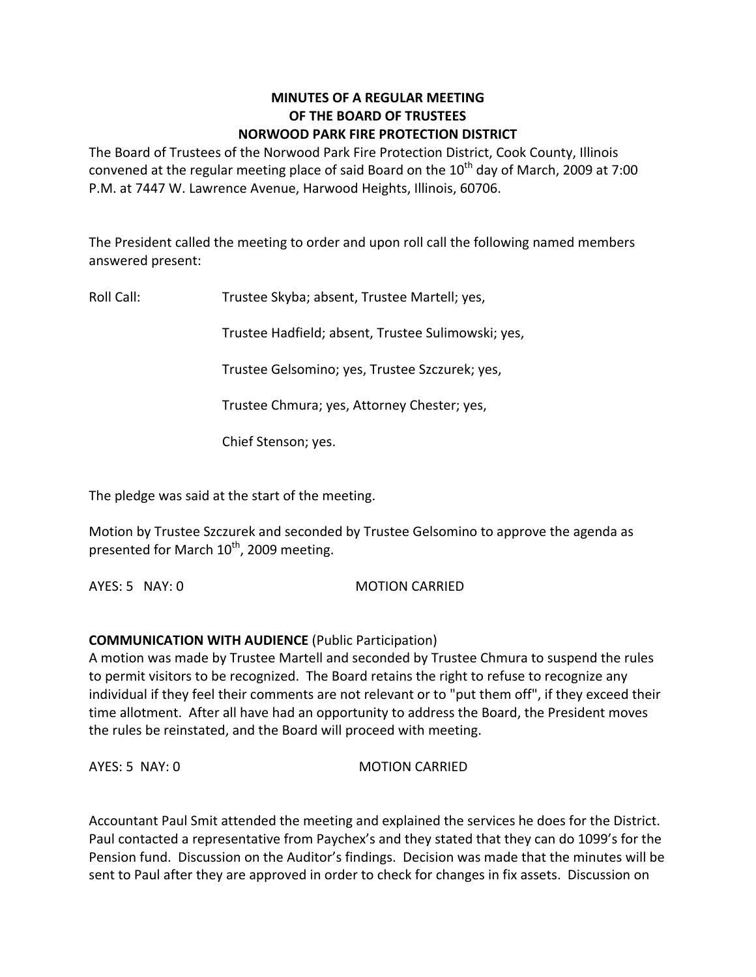# **MINUTES OF A REGULAR MEETING OF THE BOARD OF TRUSTEES NORWOOD PARK FIRE PROTECTION DISTRICT**

The Board of Trustees of the Norwood Park Fire Protection District, Cook County, Illinois convened at the regular meeting place of said Board on the  $10^{th}$  day of March, 2009 at 7:00 P.M. at 7447 W. Lawrence Avenue, Harwood Heights, Illinois, 60706.

The President called the meeting to order and upon roll call the following named members answered present:

Roll Call: Trustee Skyba; absent, Trustee Martell; yes,

Trustee Hadfield; absent, Trustee Sulimowski; yes,

Trustee Gelsomino; yes, Trustee Szczurek; yes,

Trustee Chmura; yes, Attorney Chester; yes,

Chief Stenson; yes.

The pledge was said at the start of the meeting.

Motion by Trustee Szczurek and seconded by Trustee Gelsomino to approve the agenda as presented for March 10<sup>th</sup>, 2009 meeting.

AYES: 5 NAY: 0 MOTION CARRIED

# **COMMUNICATION WITH AUDIENCE** (Public Participation)

A motion was made by Trustee Martell and seconded by Trustee Chmura to suspend the rules to permit visitors to be recognized. The Board retains the right to refuse to recognize any individual if they feel their comments are not relevant or to "put them off", if they exceed their time allotment. After all have had an opportunity to address the Board, the President moves the rules be reinstated, and the Board will proceed with meeting.

AYES: 5 NAY: 0 MOTION CARRIED

Accountant Paul Smit attended the meeting and explained the services he does for the District. Paul contacted a representative from Paychex's and they stated that they can do 1099's for the Pension fund. Discussion on the Auditor's findings. Decision was made that the minutes will be sent to Paul after they are approved in order to check for changes in fix assets. Discussion on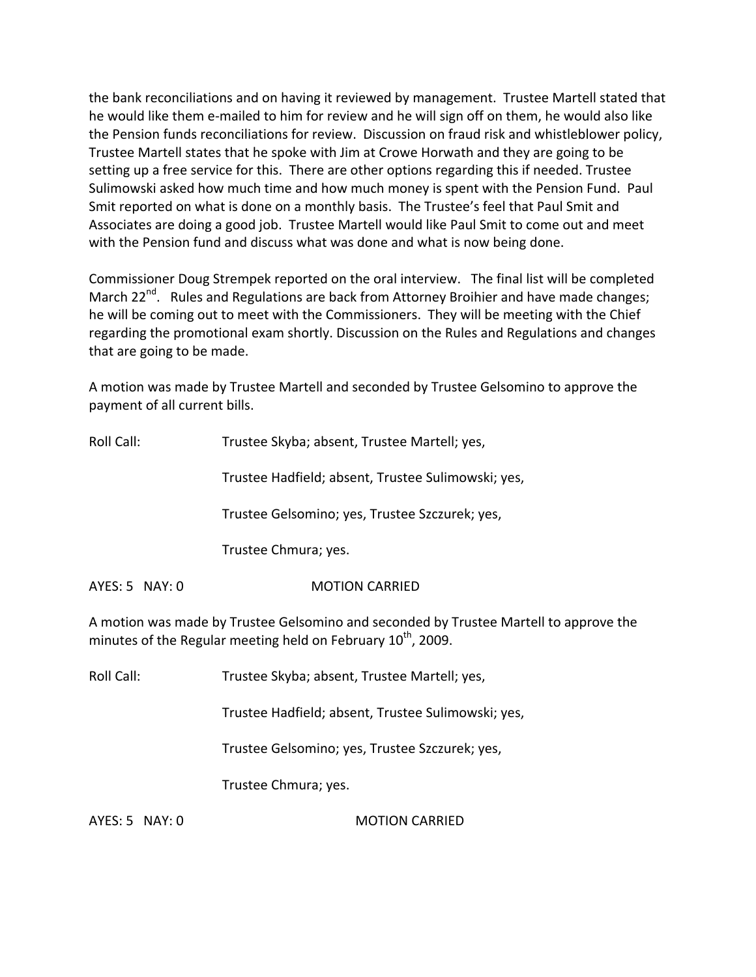the bank reconciliations and on having it reviewed by management. Trustee Martell stated that he would like them e-mailed to him for review and he will sign off on them, he would also like the Pension funds reconciliations for review. Discussion on fraud risk and whistleblower policy, Trustee Martell states that he spoke with Jim at Crowe Horwath and they are going to be setting up a free service for this. There are other options regarding this if needed. Trustee Sulimowski asked how much time and how much money is spent with the Pension Fund. Paul Smit reported on what is done on a monthly basis. The Trustee's feel that Paul Smit and Associates are doing a good job. Trustee Martell would like Paul Smit to come out and meet with the Pension fund and discuss what was done and what is now being done.

Commissioner Doug Strempek reported on the oral interview. The final list will be completed March 22<sup>nd</sup>. Rules and Regulations are back from Attorney Broihier and have made changes; he will be coming out to meet with the Commissioners. They will be meeting with the Chief regarding the promotional exam shortly. Discussion on the Rules and Regulations and changes that are going to be made.

A motion was made by Trustee Martell and seconded by Trustee Gelsomino to approve the payment of all current bills.

| Roll Call:                                                                                                                                                        | Trustee Skyba; absent, Trustee Martell; yes,       |  |
|-------------------------------------------------------------------------------------------------------------------------------------------------------------------|----------------------------------------------------|--|
|                                                                                                                                                                   | Trustee Hadfield; absent, Trustee Sulimowski; yes, |  |
|                                                                                                                                                                   | Trustee Gelsomino; yes, Trustee Szczurek; yes,     |  |
|                                                                                                                                                                   | Trustee Chmura; yes.                               |  |
| AYES: 5 NAY: 0                                                                                                                                                    | <b>MOTION CARRIED</b>                              |  |
| A motion was made by Trustee Gelsomino and seconded by Trustee Martell to approve the<br>minutes of the Regular meeting held on February 10 <sup>th</sup> , 2009. |                                                    |  |

Roll Call: Trustee Skyba; absent, Trustee Martell; yes,

Trustee Hadfield; absent, Trustee Sulimowski; yes,

Trustee Gelsomino; yes, Trustee Szczurek; yes,

Trustee Chmura; yes.

AYES: 5 NAY: 0 MOTION CARRIED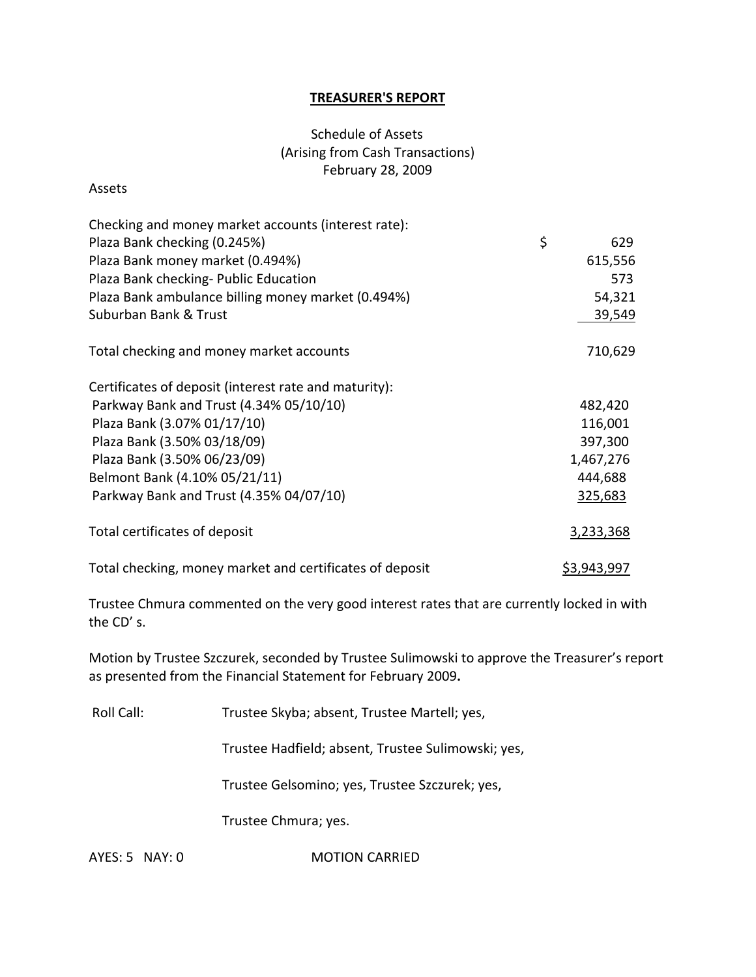## **TREASURER'S REPORT**

# Schedule of Assets (Arising from Cash Transactions) February 28, 2009

#### Assets

| Checking and money market accounts (interest rate):      |  |                    |
|----------------------------------------------------------|--|--------------------|
| Plaza Bank checking (0.245%)                             |  | 629                |
| Plaza Bank money market (0.494%)                         |  | 615,556            |
| Plaza Bank checking- Public Education                    |  | 573                |
| Plaza Bank ambulance billing money market (0.494%)       |  | 54,321             |
| Suburban Bank & Trust                                    |  | 39,549             |
| Total checking and money market accounts                 |  | 710,629            |
| Certificates of deposit (interest rate and maturity):    |  |                    |
| Parkway Bank and Trust (4.34% 05/10/10)                  |  | 482,420            |
| Plaza Bank (3.07% 01/17/10)                              |  | 116,001            |
| Plaza Bank (3.50% 03/18/09)                              |  | 397,300            |
| Plaza Bank (3.50% 06/23/09)                              |  | 1,467,276          |
| Belmont Bank (4.10% 05/21/11)                            |  | 444,688            |
| Parkway Bank and Trust (4.35% 04/07/10)                  |  | 325,683            |
| Total certificates of deposit                            |  | 3,233,368          |
| Total checking, money market and certificates of deposit |  | <u>\$3,943,997</u> |

Trustee Chmura commented on the very good interest rates that are currently locked in with the CD' s.

Motion by Trustee Szczurek, seconded by Trustee Sulimowski to approve the Treasurer's report as presented from the Financial Statement for February 2009**.**

Roll Call: Trustee Skyba; absent, Trustee Martell; yes,

Trustee Hadfield; absent, Trustee Sulimowski; yes,

Trustee Gelsomino; yes, Trustee Szczurek; yes,

Trustee Chmura; yes.

AYES: 5 NAY: 0 **MOTION CARRIED**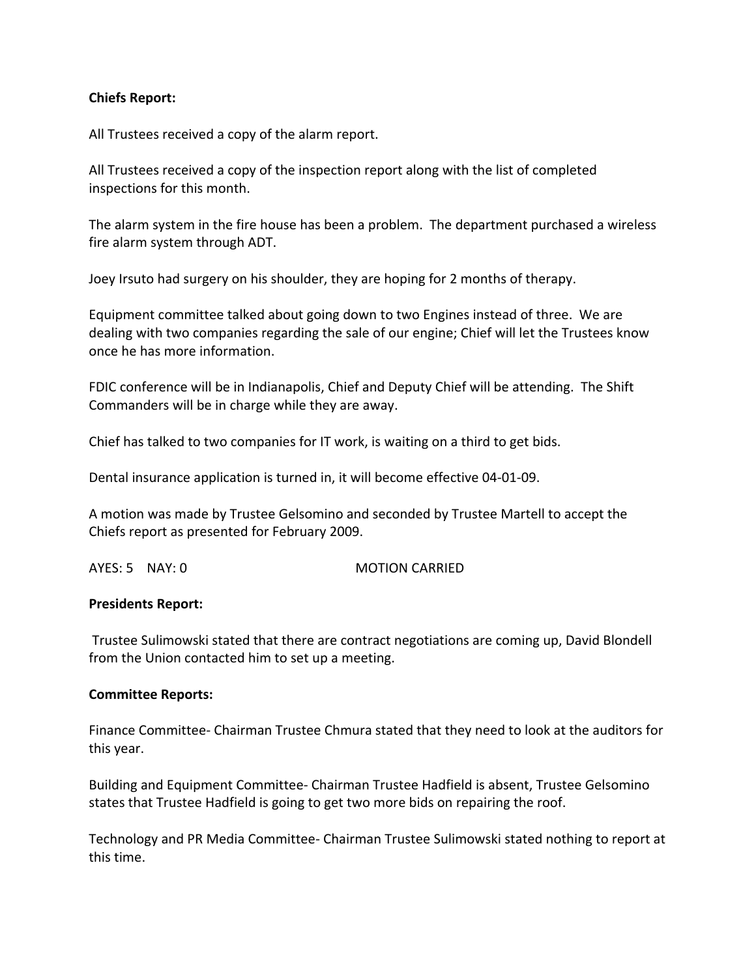## **Chiefs Report:**

All Trustees received a copy of the alarm report.

All Trustees received a copy of the inspection report along with the list of completed inspections for this month.

The alarm system in the fire house has been a problem. The department purchased a wireless fire alarm system through ADT.

Joey Irsuto had surgery on his shoulder, they are hoping for 2 months of therapy.

Equipment committee talked about going down to two Engines instead of three. We are dealing with two companies regarding the sale of our engine; Chief will let the Trustees know once he has more information.

FDIC conference will be in Indianapolis, Chief and Deputy Chief will be attending. The Shift Commanders will be in charge while they are away.

Chief has talked to two companies for IT work, is waiting on a third to get bids.

Dental insurance application is turned in, it will become effective 04‐01‐09.

A motion was made by Trustee Gelsomino and seconded by Trustee Martell to accept the Chiefs report as presented for February 2009.

AYES: 5 NAY: 0 **MOTION CARRIED** 

#### **Presidents Report:**

Trustee Sulimowski stated that there are contract negotiations are coming up, David Blondell from the Union contacted him to set up a meeting.

#### **Committee Reports:**

Finance Committee‐ Chairman Trustee Chmura stated that they need to look at the auditors for this year.

Building and Equipment Committee‐ Chairman Trustee Hadfield is absent, Trustee Gelsomino states that Trustee Hadfield is going to get two more bids on repairing the roof.

Technology and PR Media Committee‐ Chairman Trustee Sulimowski stated nothing to report at this time.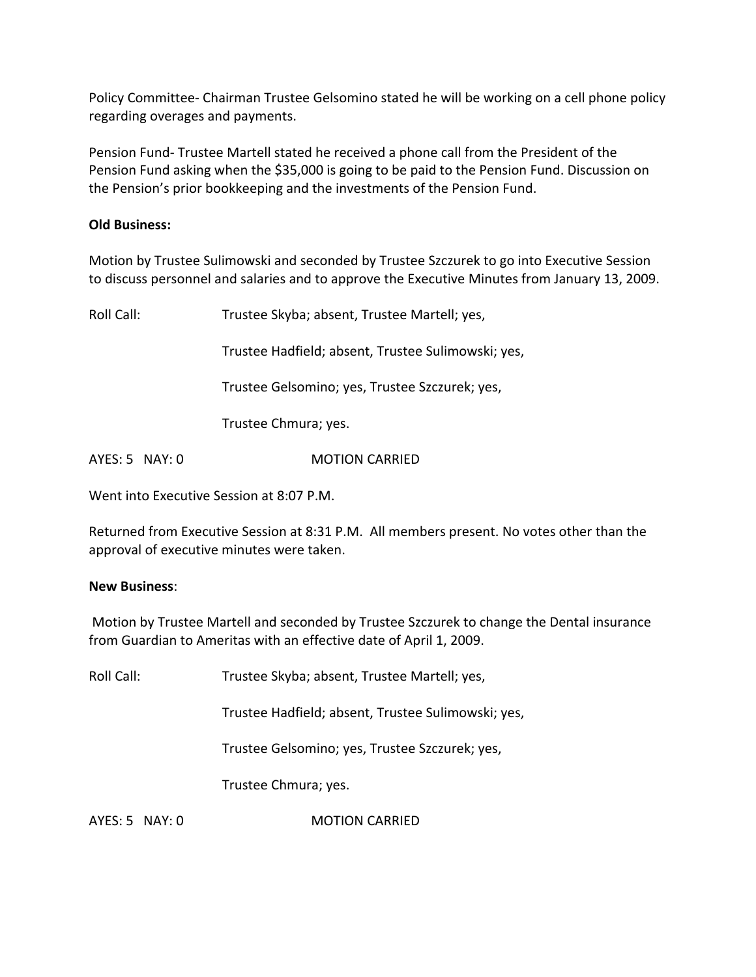Policy Committee‐ Chairman Trustee Gelsomino stated he will be working on a cell phone policy regarding overages and payments.

Pension Fund‐ Trustee Martell stated he received a phone call from the President of the Pension Fund asking when the \$35,000 is going to be paid to the Pension Fund. Discussion on the Pension's prior bookkeeping and the investments of the Pension Fund.

# **Old Business:**

Motion by Trustee Sulimowski and seconded by Trustee Szczurek to go into Executive Session to discuss personnel and salaries and to approve the Executive Minutes from January 13, 2009.

Roll Call: Trustee Skyba; absent, Trustee Martell; yes, Trustee Hadfield; absent, Trustee Sulimowski; yes, Trustee Gelsomino; yes, Trustee Szczurek; yes, Trustee Chmura; yes.

AYES: 5 NAY: 0 **MOTION CARRIED** 

Went into Executive Session at 8:07 P.M.

Returned from Executive Session at 8:31 P.M. All members present. No votes other than the approval of executive minutes were taken.

## **New Business**:

Motion by Trustee Martell and seconded by Trustee Szczurek to change the Dental insurance from Guardian to Ameritas with an effective date of April 1, 2009.

Roll Call: Trustee Skyba; absent, Trustee Martell; yes,

Trustee Hadfield; absent, Trustee Sulimowski; yes,

Trustee Gelsomino; yes, Trustee Szczurek; yes,

Trustee Chmura; yes.

AYES: 5 NAY: 0 **MOTION CARRIED**